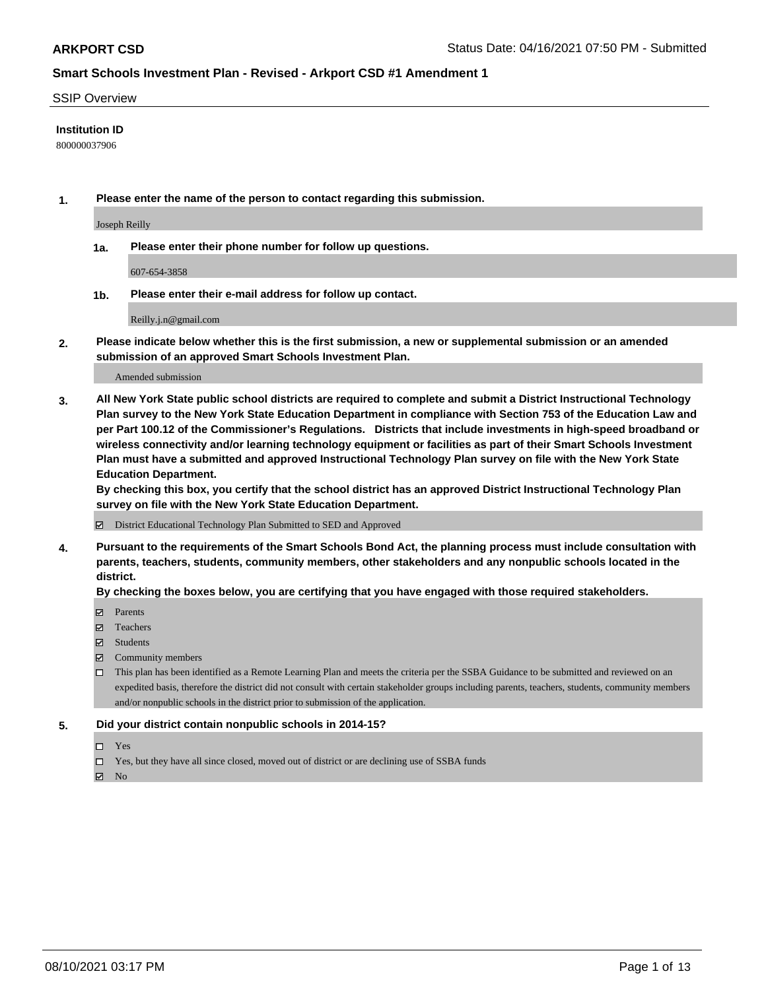### SSIP Overview

### **Institution ID**

800000037906

**1. Please enter the name of the person to contact regarding this submission.**

Joseph Reilly

**1a. Please enter their phone number for follow up questions.**

607-654-3858

**1b. Please enter their e-mail address for follow up contact.**

Reilly.j.n@gmail.com

**2. Please indicate below whether this is the first submission, a new or supplemental submission or an amended submission of an approved Smart Schools Investment Plan.**

#### Amended submission

**3. All New York State public school districts are required to complete and submit a District Instructional Technology Plan survey to the New York State Education Department in compliance with Section 753 of the Education Law and per Part 100.12 of the Commissioner's Regulations. Districts that include investments in high-speed broadband or wireless connectivity and/or learning technology equipment or facilities as part of their Smart Schools Investment Plan must have a submitted and approved Instructional Technology Plan survey on file with the New York State Education Department.** 

**By checking this box, you certify that the school district has an approved District Instructional Technology Plan survey on file with the New York State Education Department.**

District Educational Technology Plan Submitted to SED and Approved

**4. Pursuant to the requirements of the Smart Schools Bond Act, the planning process must include consultation with parents, teachers, students, community members, other stakeholders and any nonpublic schools located in the district.** 

### **By checking the boxes below, you are certifying that you have engaged with those required stakeholders.**

- **Parents**
- Teachers
- Students
- $\boxtimes$  Community members
- This plan has been identified as a Remote Learning Plan and meets the criteria per the SSBA Guidance to be submitted and reviewed on an expedited basis, therefore the district did not consult with certain stakeholder groups including parents, teachers, students, community members and/or nonpublic schools in the district prior to submission of the application.
- **5. Did your district contain nonpublic schools in 2014-15?**
	- □ Yes
	- □ Yes, but they have all since closed, moved out of district or are declining use of SSBA funds

 $M$  No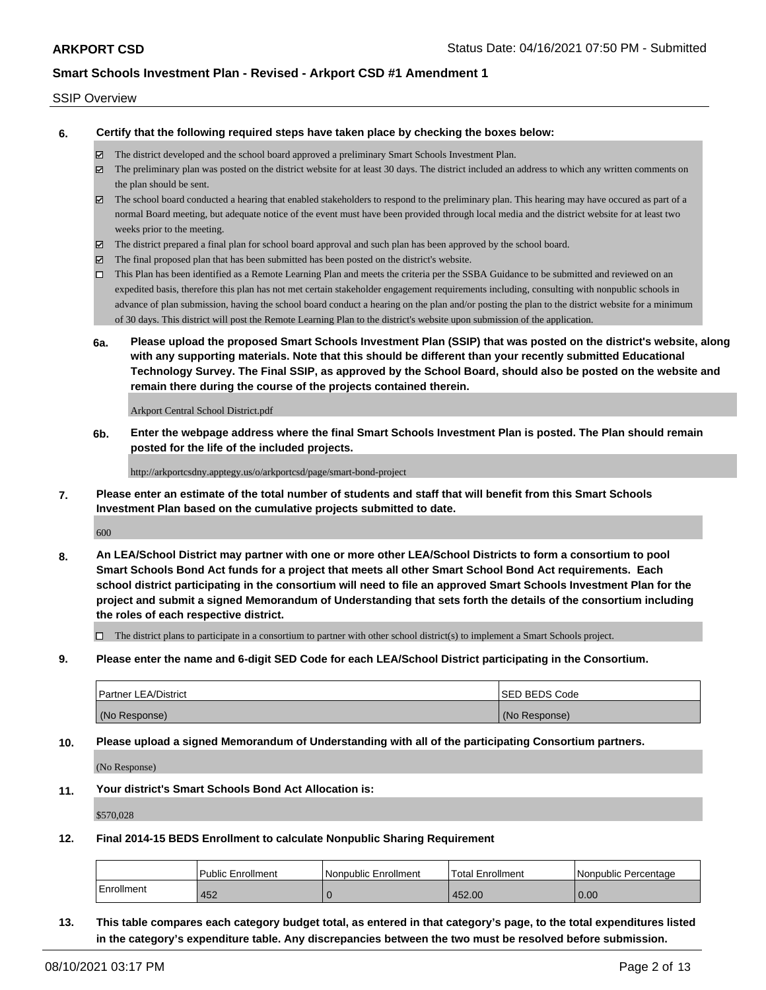### SSIP Overview

**6. Certify that the following required steps have taken place by checking the boxes below:**

- The district developed and the school board approved a preliminary Smart Schools Investment Plan.
- The preliminary plan was posted on the district website for at least 30 days. The district included an address to which any written comments on the plan should be sent.
- $\boxtimes$  The school board conducted a hearing that enabled stakeholders to respond to the preliminary plan. This hearing may have occured as part of a normal Board meeting, but adequate notice of the event must have been provided through local media and the district website for at least two weeks prior to the meeting.
- The district prepared a final plan for school board approval and such plan has been approved by the school board.
- $\boxtimes$  The final proposed plan that has been submitted has been posted on the district's website.
- This Plan has been identified as a Remote Learning Plan and meets the criteria per the SSBA Guidance to be submitted and reviewed on an expedited basis, therefore this plan has not met certain stakeholder engagement requirements including, consulting with nonpublic schools in advance of plan submission, having the school board conduct a hearing on the plan and/or posting the plan to the district website for a minimum of 30 days. This district will post the Remote Learning Plan to the district's website upon submission of the application.
- **6a. Please upload the proposed Smart Schools Investment Plan (SSIP) that was posted on the district's website, along with any supporting materials. Note that this should be different than your recently submitted Educational Technology Survey. The Final SSIP, as approved by the School Board, should also be posted on the website and remain there during the course of the projects contained therein.**

Arkport Central School District.pdf

**6b. Enter the webpage address where the final Smart Schools Investment Plan is posted. The Plan should remain posted for the life of the included projects.**

http://arkportcsdny.apptegy.us/o/arkportcsd/page/smart-bond-project

**7. Please enter an estimate of the total number of students and staff that will benefit from this Smart Schools Investment Plan based on the cumulative projects submitted to date.**

600

**8. An LEA/School District may partner with one or more other LEA/School Districts to form a consortium to pool Smart Schools Bond Act funds for a project that meets all other Smart School Bond Act requirements. Each school district participating in the consortium will need to file an approved Smart Schools Investment Plan for the project and submit a signed Memorandum of Understanding that sets forth the details of the consortium including the roles of each respective district.**

 $\Box$  The district plans to participate in a consortium to partner with other school district(s) to implement a Smart Schools project.

**9. Please enter the name and 6-digit SED Code for each LEA/School District participating in the Consortium.**

| <b>Partner LEA/District</b> | <b>ISED BEDS Code</b> |
|-----------------------------|-----------------------|
| (No Response)               | (No Response)         |

**10. Please upload a signed Memorandum of Understanding with all of the participating Consortium partners.**

(No Response)

**11. Your district's Smart Schools Bond Act Allocation is:**

\$570,028

**12. Final 2014-15 BEDS Enrollment to calculate Nonpublic Sharing Requirement**

|            | <b>Public Enrollment</b> | l Nonpublic Enrollment | Total Enrollment | I Nonpublic Percentage |
|------------|--------------------------|------------------------|------------------|------------------------|
| Enrollment | 452                      |                        | 452.00           | 0.00                   |

**13. This table compares each category budget total, as entered in that category's page, to the total expenditures listed in the category's expenditure table. Any discrepancies between the two must be resolved before submission.**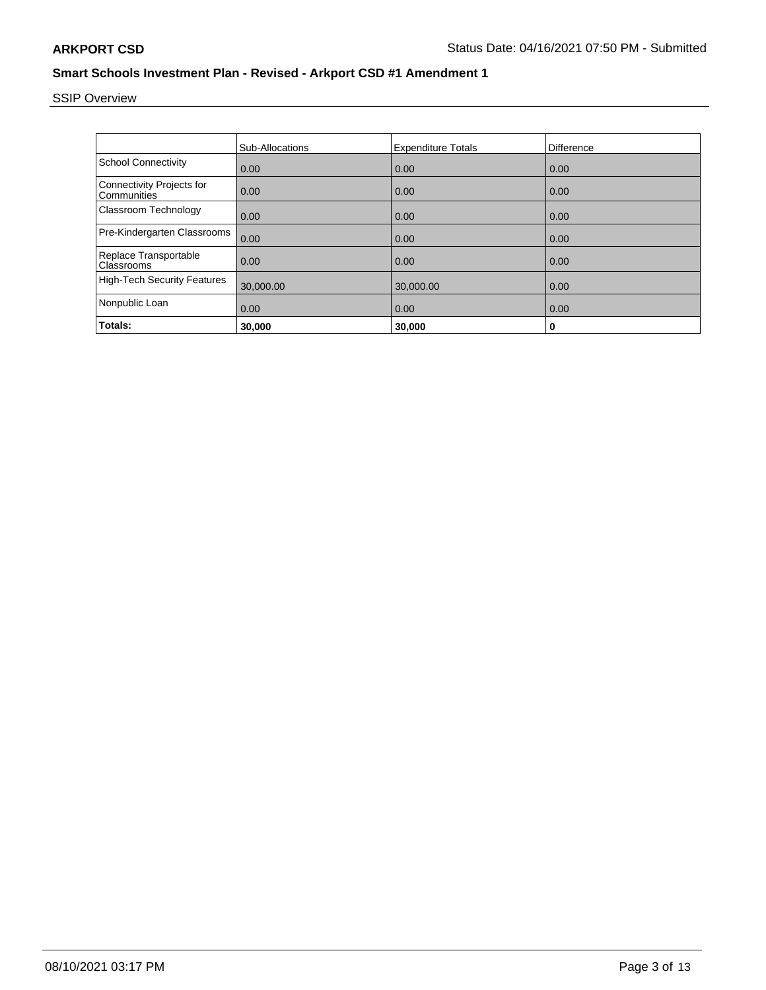# SSIP Overview

|                                                 | <b>Sub-Allocations</b> | <b>Expenditure Totals</b> | Difference |
|-------------------------------------------------|------------------------|---------------------------|------------|
| <b>School Connectivity</b>                      | 0.00                   | 0.00                      | 0.00       |
| <b>Connectivity Projects for</b><br>Communities | 0.00                   | 0.00                      | 0.00       |
| Classroom Technology                            | 0.00                   | 0.00                      | 0.00       |
| Pre-Kindergarten Classrooms                     | 0.00                   | 0.00                      | 0.00       |
| Replace Transportable<br>Classrooms             | 0.00                   | 0.00                      | 0.00       |
| <b>High-Tech Security Features</b>              | 30,000.00              | 30,000.00                 | 0.00       |
| Nonpublic Loan                                  | 0.00                   | 0.00                      | 0.00       |
| Totals:                                         | 30,000                 | 30,000                    | 0          |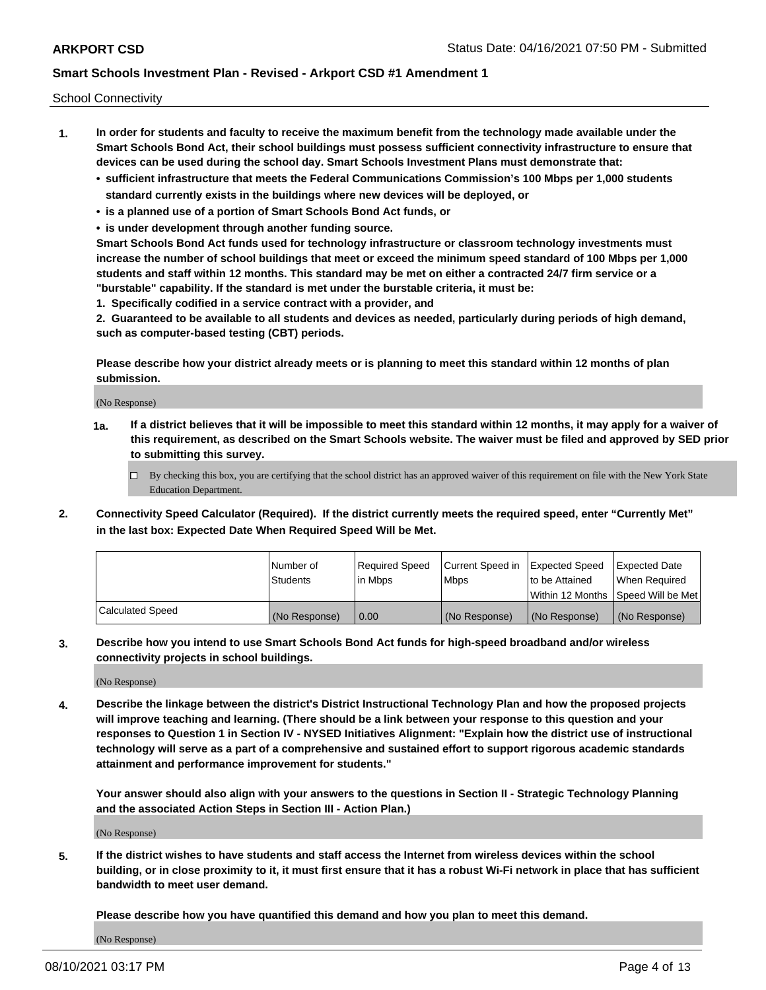School Connectivity

- **1. In order for students and faculty to receive the maximum benefit from the technology made available under the Smart Schools Bond Act, their school buildings must possess sufficient connectivity infrastructure to ensure that devices can be used during the school day. Smart Schools Investment Plans must demonstrate that:**
	- **• sufficient infrastructure that meets the Federal Communications Commission's 100 Mbps per 1,000 students standard currently exists in the buildings where new devices will be deployed, or**
	- **• is a planned use of a portion of Smart Schools Bond Act funds, or**
	- **• is under development through another funding source.**

**Smart Schools Bond Act funds used for technology infrastructure or classroom technology investments must increase the number of school buildings that meet or exceed the minimum speed standard of 100 Mbps per 1,000 students and staff within 12 months. This standard may be met on either a contracted 24/7 firm service or a "burstable" capability. If the standard is met under the burstable criteria, it must be:**

**1. Specifically codified in a service contract with a provider, and**

**2. Guaranteed to be available to all students and devices as needed, particularly during periods of high demand, such as computer-based testing (CBT) periods.**

**Please describe how your district already meets or is planning to meet this standard within 12 months of plan submission.**

(No Response)

**1a. If a district believes that it will be impossible to meet this standard within 12 months, it may apply for a waiver of this requirement, as described on the Smart Schools website. The waiver must be filed and approved by SED prior to submitting this survey.**

 $\Box$  By checking this box, you are certifying that the school district has an approved waiver of this requirement on file with the New York State Education Department.

**2. Connectivity Speed Calculator (Required). If the district currently meets the required speed, enter "Currently Met" in the last box: Expected Date When Required Speed Will be Met.**

|                  | l Number of     | Required Speed | Current Speed in | Expected Speed  | Expected Date                           |
|------------------|-----------------|----------------|------------------|-----------------|-----------------------------------------|
|                  | <b>Students</b> | In Mbps        | l Mbps           | to be Attained  | When Required                           |
|                  |                 |                |                  |                 | l Within 12 Months ISpeed Will be Met l |
| Calculated Speed | (No Response)   | 0.00           | (No Response)    | l (No Response) | l (No Response)                         |

**3. Describe how you intend to use Smart Schools Bond Act funds for high-speed broadband and/or wireless connectivity projects in school buildings.**

(No Response)

**4. Describe the linkage between the district's District Instructional Technology Plan and how the proposed projects will improve teaching and learning. (There should be a link between your response to this question and your responses to Question 1 in Section IV - NYSED Initiatives Alignment: "Explain how the district use of instructional technology will serve as a part of a comprehensive and sustained effort to support rigorous academic standards attainment and performance improvement for students."** 

**Your answer should also align with your answers to the questions in Section II - Strategic Technology Planning and the associated Action Steps in Section III - Action Plan.)**

(No Response)

**5. If the district wishes to have students and staff access the Internet from wireless devices within the school building, or in close proximity to it, it must first ensure that it has a robust Wi-Fi network in place that has sufficient bandwidth to meet user demand.**

**Please describe how you have quantified this demand and how you plan to meet this demand.**

(No Response)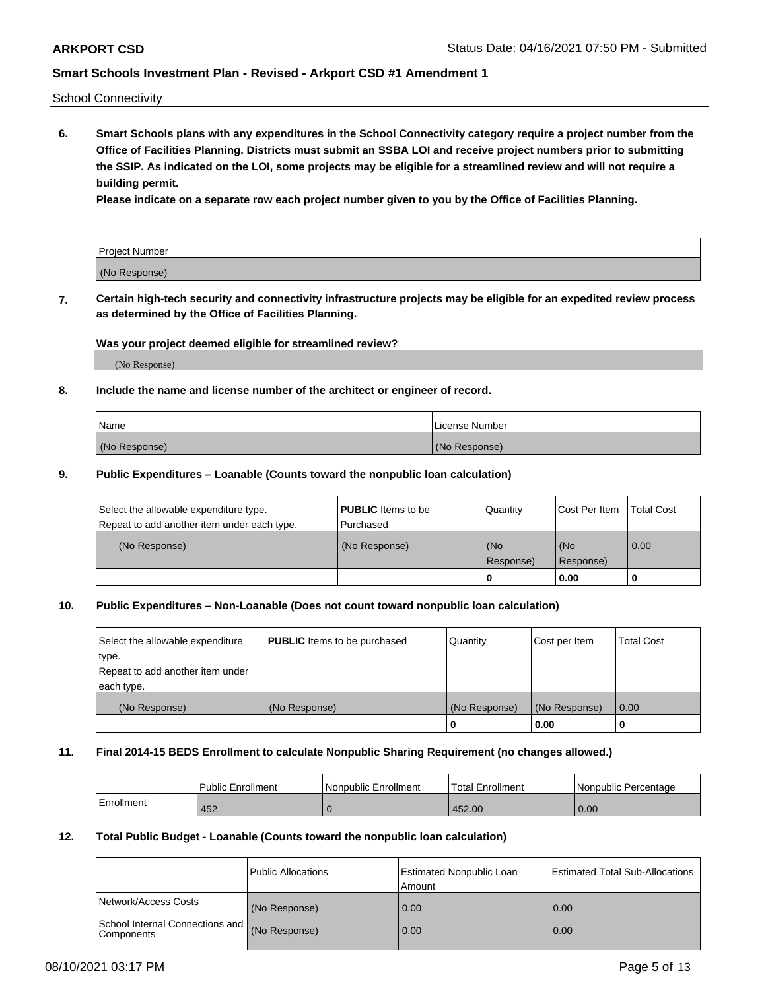School Connectivity

**6. Smart Schools plans with any expenditures in the School Connectivity category require a project number from the Office of Facilities Planning. Districts must submit an SSBA LOI and receive project numbers prior to submitting the SSIP. As indicated on the LOI, some projects may be eligible for a streamlined review and will not require a building permit.**

**Please indicate on a separate row each project number given to you by the Office of Facilities Planning.**

| Project Number |  |
|----------------|--|
| (No Response)  |  |

**7. Certain high-tech security and connectivity infrastructure projects may be eligible for an expedited review process as determined by the Office of Facilities Planning.**

### **Was your project deemed eligible for streamlined review?**

(No Response)

## **8. Include the name and license number of the architect or engineer of record.**

| Name          | License Number |
|---------------|----------------|
| (No Response) | (No Response)  |

### **9. Public Expenditures – Loanable (Counts toward the nonpublic loan calculation)**

| Select the allowable expenditure type.<br>Repeat to add another item under each type. | <b>PUBLIC</b> Items to be<br>l Purchased | Quantity         | l Cost Per Item  | <b>Total Cost</b> |
|---------------------------------------------------------------------------------------|------------------------------------------|------------------|------------------|-------------------|
| (No Response)                                                                         | (No Response)                            | (No<br>Response) | (No<br>Response) | 0.00              |
|                                                                                       |                                          | 0                | 0.00             |                   |

## **10. Public Expenditures – Non-Loanable (Does not count toward nonpublic loan calculation)**

| Select the allowable expenditure<br>type.<br>Repeat to add another item under<br>each type. | <b>PUBLIC</b> Items to be purchased | Quantity      | Cost per Item | <b>Total Cost</b> |
|---------------------------------------------------------------------------------------------|-------------------------------------|---------------|---------------|-------------------|
| (No Response)                                                                               | (No Response)                       | (No Response) | (No Response) | 0.00              |
|                                                                                             |                                     |               | 0.00          |                   |

#### **11. Final 2014-15 BEDS Enrollment to calculate Nonpublic Sharing Requirement (no changes allowed.)**

|            | l Public Enrollment | Nonpublic Enrollment | <b>Total Enrollment</b> | l Nonpublic Percentage |
|------------|---------------------|----------------------|-------------------------|------------------------|
| Enrollment | 452                 |                      | 452.00                  | 0.00                   |

### **12. Total Public Budget - Loanable (Counts toward the nonpublic loan calculation)**

|                                                      | Public Allocations | <b>Estimated Nonpublic Loan</b><br>Amount | Estimated Total Sub-Allocations |
|------------------------------------------------------|--------------------|-------------------------------------------|---------------------------------|
| Network/Access Costs                                 | (No Response)      | 0.00                                      | 0.00                            |
| School Internal Connections and<br><b>Components</b> | (No Response)      | 0.00                                      | 0.00                            |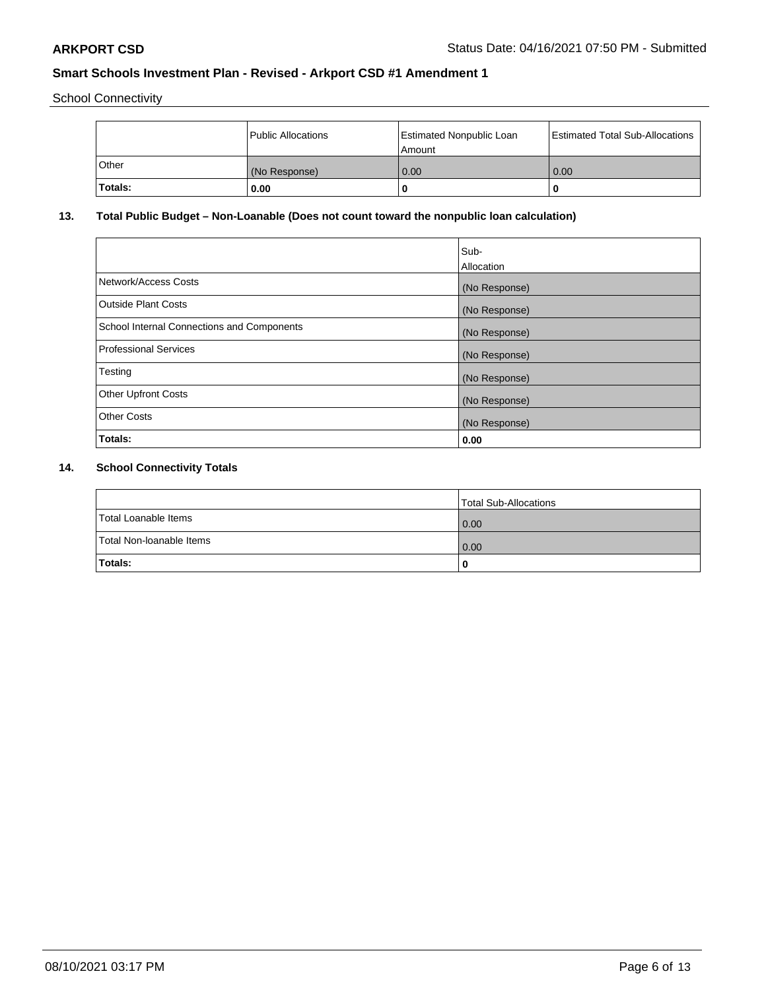School Connectivity

|                | Public Allocations | <b>Estimated Nonpublic Loan</b><br>l Amount | <b>Estimated Total Sub-Allocations</b> |
|----------------|--------------------|---------------------------------------------|----------------------------------------|
| l Other        | (No Response)      | 0.00                                        | 0.00                                   |
| <b>Totals:</b> | 0.00               | 0                                           |                                        |

# **13. Total Public Budget – Non-Loanable (Does not count toward the nonpublic loan calculation)**

|                                                   | Sub-<br>Allocation |
|---------------------------------------------------|--------------------|
|                                                   |                    |
| Network/Access Costs                              | (No Response)      |
| <b>Outside Plant Costs</b>                        | (No Response)      |
| <b>School Internal Connections and Components</b> | (No Response)      |
| Professional Services                             | (No Response)      |
| Testing                                           | (No Response)      |
| <b>Other Upfront Costs</b>                        | (No Response)      |
| <b>Other Costs</b>                                | (No Response)      |
| <b>Totals:</b>                                    | 0.00               |

# **14. School Connectivity Totals**

|                          | Total Sub-Allocations |
|--------------------------|-----------------------|
| Total Loanable Items     | 0.00                  |
| Total Non-Ioanable Items | 0.00                  |
| Totals:                  |                       |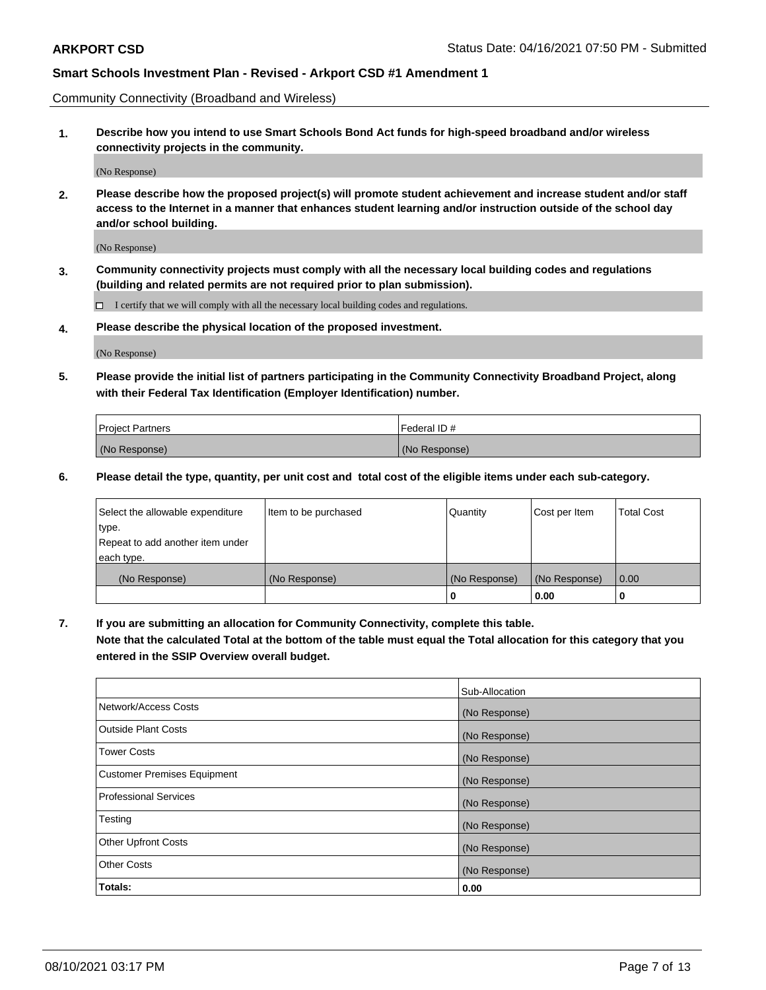Community Connectivity (Broadband and Wireless)

**1. Describe how you intend to use Smart Schools Bond Act funds for high-speed broadband and/or wireless connectivity projects in the community.**

(No Response)

**2. Please describe how the proposed project(s) will promote student achievement and increase student and/or staff access to the Internet in a manner that enhances student learning and/or instruction outside of the school day and/or school building.**

(No Response)

**3. Community connectivity projects must comply with all the necessary local building codes and regulations (building and related permits are not required prior to plan submission).**

 $\Box$  I certify that we will comply with all the necessary local building codes and regulations.

**4. Please describe the physical location of the proposed investment.**

(No Response)

**5. Please provide the initial list of partners participating in the Community Connectivity Broadband Project, along with their Federal Tax Identification (Employer Identification) number.**

| <b>Project Partners</b> | l Federal ID # |
|-------------------------|----------------|
| (No Response)           | (No Response)  |

**6. Please detail the type, quantity, per unit cost and total cost of the eligible items under each sub-category.**

| Select the allowable expenditure | Item to be purchased | Quantity      | Cost per Item | <b>Total Cost</b> |
|----------------------------------|----------------------|---------------|---------------|-------------------|
| type.                            |                      |               |               |                   |
| Repeat to add another item under |                      |               |               |                   |
| each type.                       |                      |               |               |                   |
| (No Response)                    | (No Response)        | (No Response) | (No Response) | 0.00              |
|                                  |                      | o             | 0.00          |                   |

**7. If you are submitting an allocation for Community Connectivity, complete this table.**

**Note that the calculated Total at the bottom of the table must equal the Total allocation for this category that you entered in the SSIP Overview overall budget.**

|                                    | Sub-Allocation |
|------------------------------------|----------------|
| Network/Access Costs               | (No Response)  |
| Outside Plant Costs                | (No Response)  |
| <b>Tower Costs</b>                 | (No Response)  |
| <b>Customer Premises Equipment</b> | (No Response)  |
| <b>Professional Services</b>       | (No Response)  |
| Testing                            | (No Response)  |
| <b>Other Upfront Costs</b>         | (No Response)  |
| <b>Other Costs</b>                 | (No Response)  |
| Totals:                            | 0.00           |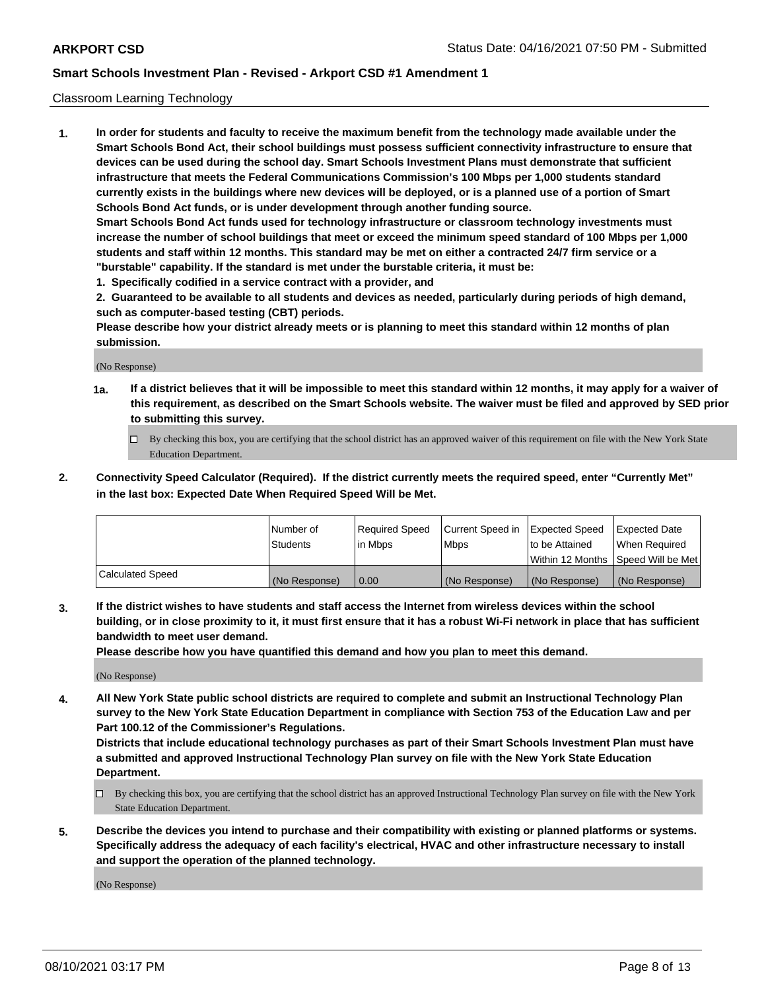## Classroom Learning Technology

**1. In order for students and faculty to receive the maximum benefit from the technology made available under the Smart Schools Bond Act, their school buildings must possess sufficient connectivity infrastructure to ensure that devices can be used during the school day. Smart Schools Investment Plans must demonstrate that sufficient infrastructure that meets the Federal Communications Commission's 100 Mbps per 1,000 students standard currently exists in the buildings where new devices will be deployed, or is a planned use of a portion of Smart Schools Bond Act funds, or is under development through another funding source. Smart Schools Bond Act funds used for technology infrastructure or classroom technology investments must increase the number of school buildings that meet or exceed the minimum speed standard of 100 Mbps per 1,000 students and staff within 12 months. This standard may be met on either a contracted 24/7 firm service or a "burstable" capability. If the standard is met under the burstable criteria, it must be:**

**1. Specifically codified in a service contract with a provider, and**

**2. Guaranteed to be available to all students and devices as needed, particularly during periods of high demand, such as computer-based testing (CBT) periods.**

**Please describe how your district already meets or is planning to meet this standard within 12 months of plan submission.**

(No Response)

- **1a. If a district believes that it will be impossible to meet this standard within 12 months, it may apply for a waiver of this requirement, as described on the Smart Schools website. The waiver must be filed and approved by SED prior to submitting this survey.**
	- By checking this box, you are certifying that the school district has an approved waiver of this requirement on file with the New York State Education Department.
- **2. Connectivity Speed Calculator (Required). If the district currently meets the required speed, enter "Currently Met" in the last box: Expected Date When Required Speed Will be Met.**

|                  | l Number of     | Required Speed | Current Speed in | <b>Expected Speed</b> | <b>Expected Date</b>                |
|------------------|-----------------|----------------|------------------|-----------------------|-------------------------------------|
|                  | <b>Students</b> | l in Mbps      | l Mbps           | to be Attained        | When Required                       |
|                  |                 |                |                  |                       | Within 12 Months  Speed Will be Met |
| Calculated Speed | (No Response)   | 0.00           | (No Response)    | l (No Response)       | (No Response)                       |

**3. If the district wishes to have students and staff access the Internet from wireless devices within the school building, or in close proximity to it, it must first ensure that it has a robust Wi-Fi network in place that has sufficient bandwidth to meet user demand.**

**Please describe how you have quantified this demand and how you plan to meet this demand.**

(No Response)

**4. All New York State public school districts are required to complete and submit an Instructional Technology Plan survey to the New York State Education Department in compliance with Section 753 of the Education Law and per Part 100.12 of the Commissioner's Regulations.**

**Districts that include educational technology purchases as part of their Smart Schools Investment Plan must have a submitted and approved Instructional Technology Plan survey on file with the New York State Education Department.**

- By checking this box, you are certifying that the school district has an approved Instructional Technology Plan survey on file with the New York State Education Department.
- **5. Describe the devices you intend to purchase and their compatibility with existing or planned platforms or systems. Specifically address the adequacy of each facility's electrical, HVAC and other infrastructure necessary to install and support the operation of the planned technology.**

(No Response)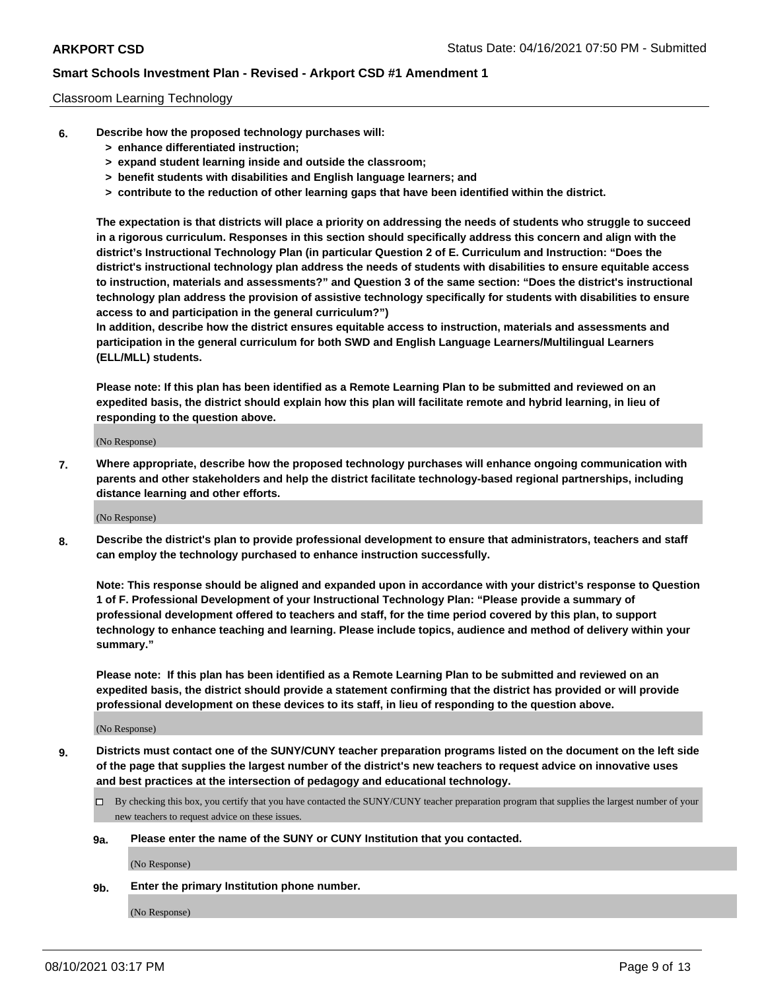## Classroom Learning Technology

- **6. Describe how the proposed technology purchases will:**
	- **> enhance differentiated instruction;**
	- **> expand student learning inside and outside the classroom;**
	- **> benefit students with disabilities and English language learners; and**
	- **> contribute to the reduction of other learning gaps that have been identified within the district.**

**The expectation is that districts will place a priority on addressing the needs of students who struggle to succeed in a rigorous curriculum. Responses in this section should specifically address this concern and align with the district's Instructional Technology Plan (in particular Question 2 of E. Curriculum and Instruction: "Does the district's instructional technology plan address the needs of students with disabilities to ensure equitable access to instruction, materials and assessments?" and Question 3 of the same section: "Does the district's instructional technology plan address the provision of assistive technology specifically for students with disabilities to ensure access to and participation in the general curriculum?")**

**In addition, describe how the district ensures equitable access to instruction, materials and assessments and participation in the general curriculum for both SWD and English Language Learners/Multilingual Learners (ELL/MLL) students.**

**Please note: If this plan has been identified as a Remote Learning Plan to be submitted and reviewed on an expedited basis, the district should explain how this plan will facilitate remote and hybrid learning, in lieu of responding to the question above.**

(No Response)

**7. Where appropriate, describe how the proposed technology purchases will enhance ongoing communication with parents and other stakeholders and help the district facilitate technology-based regional partnerships, including distance learning and other efforts.**

(No Response)

**8. Describe the district's plan to provide professional development to ensure that administrators, teachers and staff can employ the technology purchased to enhance instruction successfully.**

**Note: This response should be aligned and expanded upon in accordance with your district's response to Question 1 of F. Professional Development of your Instructional Technology Plan: "Please provide a summary of professional development offered to teachers and staff, for the time period covered by this plan, to support technology to enhance teaching and learning. Please include topics, audience and method of delivery within your summary."**

**Please note: If this plan has been identified as a Remote Learning Plan to be submitted and reviewed on an expedited basis, the district should provide a statement confirming that the district has provided or will provide professional development on these devices to its staff, in lieu of responding to the question above.**

(No Response)

- **9. Districts must contact one of the SUNY/CUNY teacher preparation programs listed on the document on the left side of the page that supplies the largest number of the district's new teachers to request advice on innovative uses and best practices at the intersection of pedagogy and educational technology.**
	- $\Box$  By checking this box, you certify that you have contacted the SUNY/CUNY teacher preparation program that supplies the largest number of your new teachers to request advice on these issues.

### **9a. Please enter the name of the SUNY or CUNY Institution that you contacted.**

(No Response)

**9b. Enter the primary Institution phone number.**

(No Response)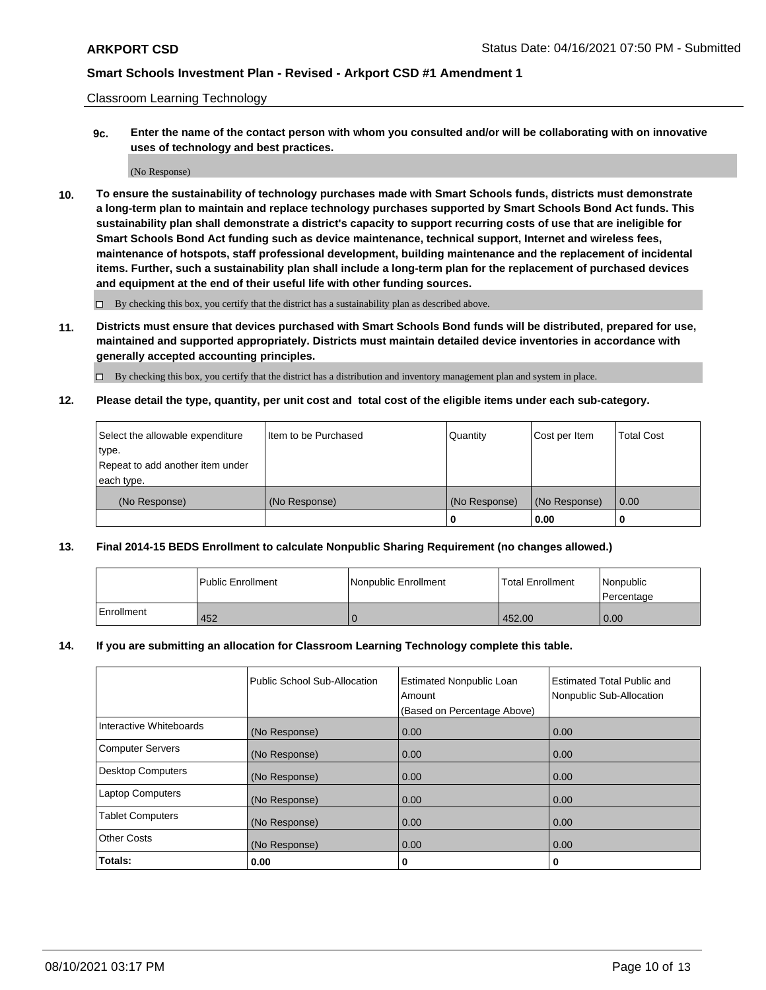Classroom Learning Technology

**9c. Enter the name of the contact person with whom you consulted and/or will be collaborating with on innovative uses of technology and best practices.**

(No Response)

**10. To ensure the sustainability of technology purchases made with Smart Schools funds, districts must demonstrate a long-term plan to maintain and replace technology purchases supported by Smart Schools Bond Act funds. This sustainability plan shall demonstrate a district's capacity to support recurring costs of use that are ineligible for Smart Schools Bond Act funding such as device maintenance, technical support, Internet and wireless fees, maintenance of hotspots, staff professional development, building maintenance and the replacement of incidental items. Further, such a sustainability plan shall include a long-term plan for the replacement of purchased devices and equipment at the end of their useful life with other funding sources.**

 $\square$  By checking this box, you certify that the district has a sustainability plan as described above.

**11. Districts must ensure that devices purchased with Smart Schools Bond funds will be distributed, prepared for use, maintained and supported appropriately. Districts must maintain detailed device inventories in accordance with generally accepted accounting principles.**

By checking this box, you certify that the district has a distribution and inventory management plan and system in place.

**12. Please detail the type, quantity, per unit cost and total cost of the eligible items under each sub-category.**

| Select the allowable expenditure | Item to be Purchased | Quantity      | Cost per Item | <b>Total Cost</b> |
|----------------------------------|----------------------|---------------|---------------|-------------------|
| type.                            |                      |               |               |                   |
| Repeat to add another item under |                      |               |               |                   |
| each type.                       |                      |               |               |                   |
| (No Response)                    | (No Response)        | (No Response) | (No Response) | $\overline{0.00}$ |
|                                  |                      |               | 0.00          |                   |

## **13. Final 2014-15 BEDS Enrollment to calculate Nonpublic Sharing Requirement (no changes allowed.)**

|                   | l Public Enrollment | Nonpublic Enrollment | <b>Total Enrollment</b> | <i>Nonpublic</i><br>Percentage |
|-------------------|---------------------|----------------------|-------------------------|--------------------------------|
| <b>Enrollment</b> | 452                 |                      | 452.00                  | 0.00                           |

### **14. If you are submitting an allocation for Classroom Learning Technology complete this table.**

|                          | Public School Sub-Allocation | <b>Estimated Nonpublic Loan</b><br>Amount | <b>Estimated Total Public and</b><br>Nonpublic Sub-Allocation |
|--------------------------|------------------------------|-------------------------------------------|---------------------------------------------------------------|
|                          |                              | (Based on Percentage Above)               |                                                               |
| Interactive Whiteboards  | (No Response)                | 0.00                                      | 0.00                                                          |
| <b>Computer Servers</b>  | (No Response)                | 0.00                                      | 0.00                                                          |
| <b>Desktop Computers</b> | (No Response)                | 0.00                                      | 0.00                                                          |
| <b>Laptop Computers</b>  | (No Response)                | 0.00                                      | 0.00                                                          |
| <b>Tablet Computers</b>  | (No Response)                | 0.00                                      | 0.00                                                          |
| <b>Other Costs</b>       | (No Response)                | 0.00                                      | 0.00                                                          |
| Totals:                  | 0.00                         | 0                                         | 0                                                             |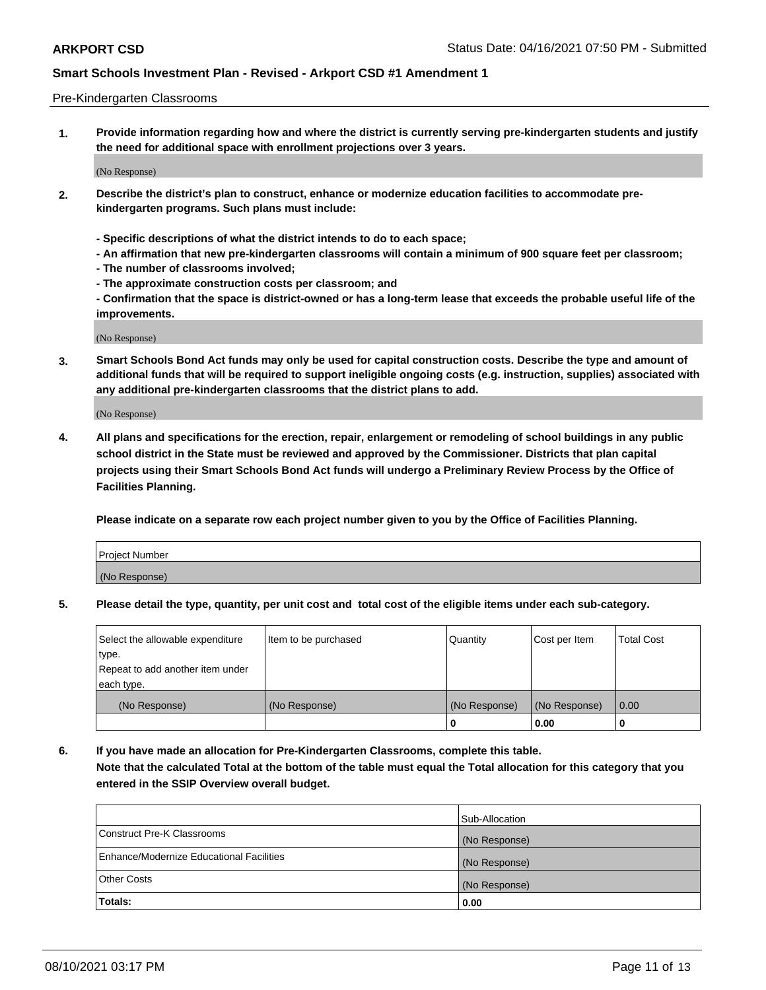### Pre-Kindergarten Classrooms

**1. Provide information regarding how and where the district is currently serving pre-kindergarten students and justify the need for additional space with enrollment projections over 3 years.**

(No Response)

- **2. Describe the district's plan to construct, enhance or modernize education facilities to accommodate prekindergarten programs. Such plans must include:**
	- **Specific descriptions of what the district intends to do to each space;**
	- **An affirmation that new pre-kindergarten classrooms will contain a minimum of 900 square feet per classroom;**
	- **The number of classrooms involved;**
	- **The approximate construction costs per classroom; and**
	- **Confirmation that the space is district-owned or has a long-term lease that exceeds the probable useful life of the improvements.**

(No Response)

**3. Smart Schools Bond Act funds may only be used for capital construction costs. Describe the type and amount of additional funds that will be required to support ineligible ongoing costs (e.g. instruction, supplies) associated with any additional pre-kindergarten classrooms that the district plans to add.**

(No Response)

**4. All plans and specifications for the erection, repair, enlargement or remodeling of school buildings in any public school district in the State must be reviewed and approved by the Commissioner. Districts that plan capital projects using their Smart Schools Bond Act funds will undergo a Preliminary Review Process by the Office of Facilities Planning.**

**Please indicate on a separate row each project number given to you by the Office of Facilities Planning.**

| Project Number |  |
|----------------|--|
| (No Response)  |  |
|                |  |

**5. Please detail the type, quantity, per unit cost and total cost of the eligible items under each sub-category.**

| Select the allowable expenditure | Item to be purchased | Quantity      | Cost per Item | <b>Total Cost</b> |
|----------------------------------|----------------------|---------------|---------------|-------------------|
| type.                            |                      |               |               |                   |
| Repeat to add another item under |                      |               |               |                   |
| each type.                       |                      |               |               |                   |
| (No Response)                    | (No Response)        | (No Response) | (No Response) | 0.00              |
|                                  |                      | U             | 0.00          |                   |

**6. If you have made an allocation for Pre-Kindergarten Classrooms, complete this table. Note that the calculated Total at the bottom of the table must equal the Total allocation for this category that you entered in the SSIP Overview overall budget.**

|                                          | Sub-Allocation |
|------------------------------------------|----------------|
| Construct Pre-K Classrooms               | (No Response)  |
| Enhance/Modernize Educational Facilities | (No Response)  |
| <b>Other Costs</b>                       | (No Response)  |
| Totals:                                  | 0.00           |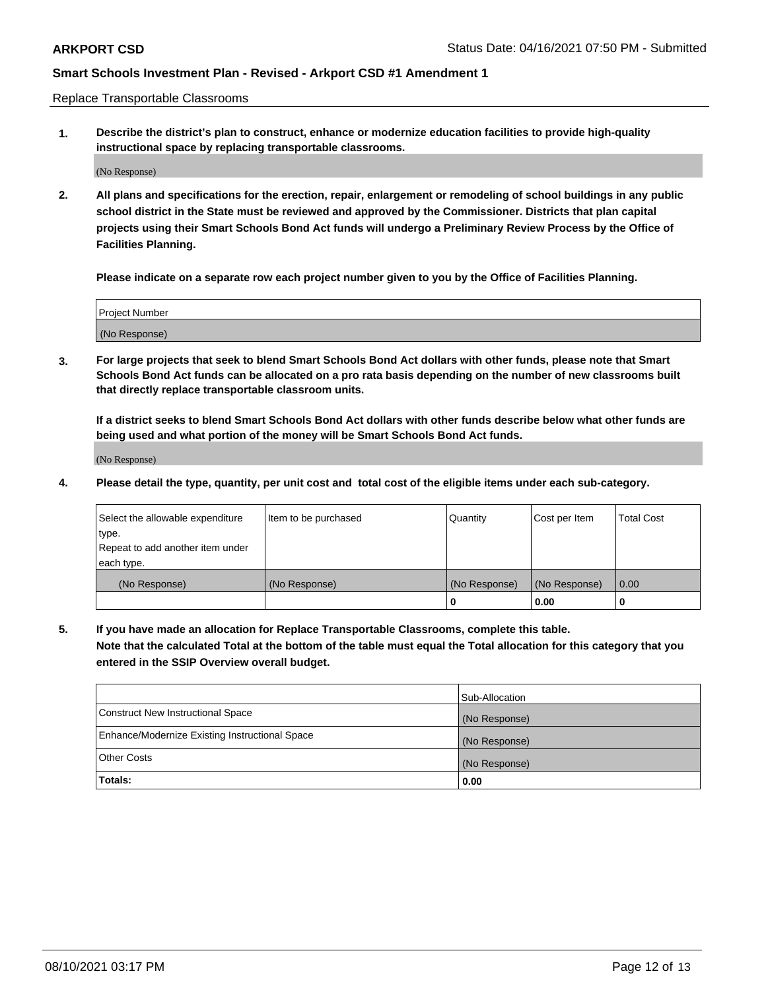Replace Transportable Classrooms

**1. Describe the district's plan to construct, enhance or modernize education facilities to provide high-quality instructional space by replacing transportable classrooms.**

(No Response)

**2. All plans and specifications for the erection, repair, enlargement or remodeling of school buildings in any public school district in the State must be reviewed and approved by the Commissioner. Districts that plan capital projects using their Smart Schools Bond Act funds will undergo a Preliminary Review Process by the Office of Facilities Planning.**

**Please indicate on a separate row each project number given to you by the Office of Facilities Planning.**

| Project Number |  |
|----------------|--|
|                |  |
|                |  |
|                |  |
|                |  |
| (No Response)  |  |
|                |  |
|                |  |
|                |  |

**3. For large projects that seek to blend Smart Schools Bond Act dollars with other funds, please note that Smart Schools Bond Act funds can be allocated on a pro rata basis depending on the number of new classrooms built that directly replace transportable classroom units.**

**If a district seeks to blend Smart Schools Bond Act dollars with other funds describe below what other funds are being used and what portion of the money will be Smart Schools Bond Act funds.**

(No Response)

**4. Please detail the type, quantity, per unit cost and total cost of the eligible items under each sub-category.**

| Select the allowable expenditure | Item to be purchased | Quantity      | Cost per Item | Total Cost |
|----------------------------------|----------------------|---------------|---------------|------------|
| ∣type.                           |                      |               |               |            |
| Repeat to add another item under |                      |               |               |            |
| each type.                       |                      |               |               |            |
| (No Response)                    | (No Response)        | (No Response) | (No Response) | 0.00       |
|                                  |                      | u             | 0.00          |            |

**5. If you have made an allocation for Replace Transportable Classrooms, complete this table. Note that the calculated Total at the bottom of the table must equal the Total allocation for this category that you entered in the SSIP Overview overall budget.**

|                                                | Sub-Allocation |
|------------------------------------------------|----------------|
| Construct New Instructional Space              | (No Response)  |
| Enhance/Modernize Existing Instructional Space | (No Response)  |
| Other Costs                                    | (No Response)  |
| Totals:                                        | 0.00           |